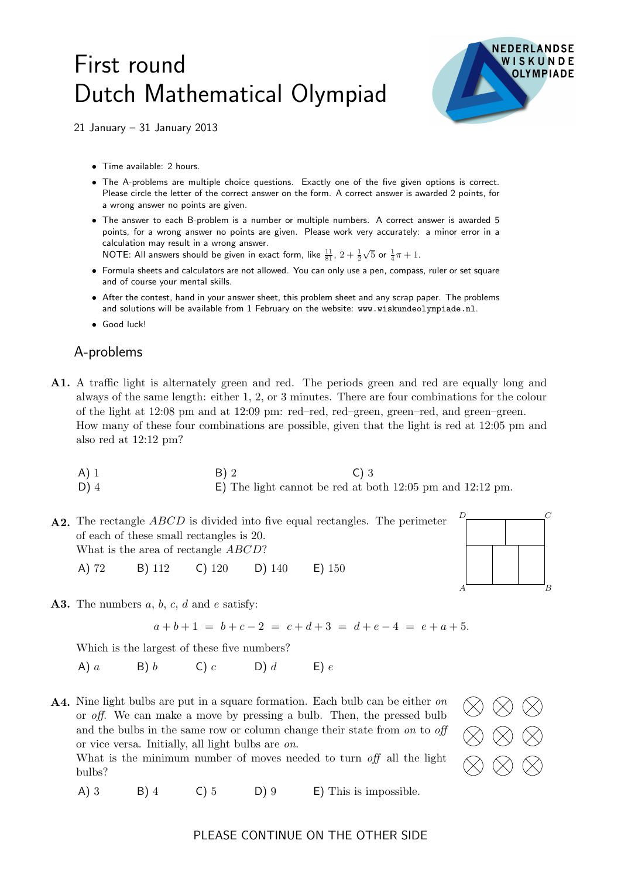## First round Dutch Mathematical Olympiad



21 January – 31 January 2013

- Time available: 2 hours.
- The A-problems are multiple choice questions. Exactly one of the five given options is correct. Please circle the letter of the correct answer on the form. A correct answer is awarded 2 points, for a wrong answer no points are given.
- The answer to each B-problem is a number or multiple numbers. A correct answer is awarded 5 points, for a wrong answer no points are given. Please work very accurately: a minor error in a calculation may result in a wrong answer.

NOTE: All answers should be given in exact form, like  $\frac{11}{81}$ ,  $2+\frac{1}{2}$  $\sqrt{5}$  or  $\frac{1}{4}\pi + 1$ .

- Formula sheets and calculators are not allowed. You can only use a pen, compass, ruler or set square and of course your mental skills.
- After the contest, hand in your answer sheet, this problem sheet and any scrap paper. The problems and solutions will be available from 1 February on the website: www.wiskundeolympiade.nl.
- Good luck!

## A-problems

A1. A traffic light is alternately green and red. The periods green and red are equally long and always of the same length: either 1, 2, or 3 minutes. There are four combinations for the colour of the light at 12:08 pm and at 12:09 pm: red–red, red–green, green–red, and green–green. How many of these four combinations are possible, given that the light is red at 12:05 pm and also red at 12:12 pm?

A) 1 B) 2 C) 3 D) 4 E) The light cannot be red at both 12:05 pm and 12:12 pm.

A2. The rectangle *ABCD* is divided into five equal rectangles. The perimeter A D C B of each of these small rectangles is 20. What is the area of rectangle *ABCD*? A) 72 B) 112 C) 120 D) 140 E) 150

A3. The numbers  $a, b, c, d$  and  $e$  satisfy:

 $a+b+1 = b+c-2 = c+d+3 = d+e-4 = e+a+5.$ 

Which is the largest of these five numbers?

A)  $a$  B)  $b$  C)  $c$  D)  $d$  E)  $e$ 

A4. Nine light bulbs are put in a square formation. Each bulb can be either on or off. We can make a move by pressing a bulb. Then, the pressed bulb and the bulbs in the same row or column change their state from on to off or vice versa. Initially, all light bulbs are on.

What is the minimum number of moves needed to turn off all the light bulbs?

A) 3 B) 4 C) 5 D) 9 E) This is impossible.